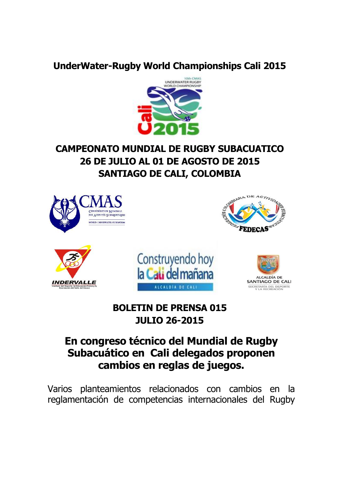### **UnderWater-Rugby World Championships Cali 2015**



# **CAMPEONATO MUNDIAL DE RUGBY SUBACUATICO 26 DE JULIO AL 01 DE AGOSTO DE 2015 SANTIAGO DE CALI, COLOMBIA**



## **BOLETIN DE PRENSA 015 JULIO 26-2015**

# **En congreso técnico del Mundial de Rugby Subacuático en Cali delegados proponen cambios en reglas de juegos.**

Varios planteamientos relacionados con cambios en la reglamentación de competencias internacionales del Rugby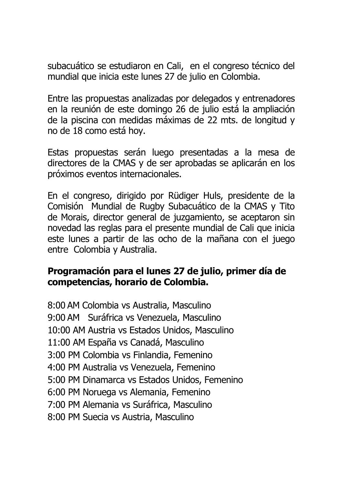subacuático se estudiaron en Cali, en el congreso técnico del mundial que inicia este lunes 27 de julio en Colombia.

Entre las propuestas analizadas por delegados y entrenadores en la reunión de este domingo 26 de julio está la ampliación de la piscina con medidas máximas de 22 mts. de longitud y no de 18 como está hoy.

Estas propuestas serán luego presentadas a la mesa de directores de la CMAS y de ser aprobadas se aplicarán en los próximos eventos internacionales.

En el congreso, dirigido por Rüdiger Huls, presidente de la Comisión Mundial de Rugby Subacuático de la CMAS y Tito de Morais, director general de juzgamiento, se aceptaron sin novedad las reglas para el presente mundial de Cali que inicia este lunes a partir de las ocho de la mañana con el juego entre Colombia y Australia.

#### **Programación para el lunes 27 de julio, primer día de competencias, horario de Colombia.**

8:00 AM Colombia vs Australia, Masculino 9:00 AM Suráfrica vs Venezuela, Masculino 10:00 AM Austria vs Estados Unidos, Masculino 11:00 AM España vs Canadá, Masculino 3:00 PM Colombia vs Finlandia, Femenino 4:00 PM Australia vs Venezuela, Femenino 5:00 PM Dinamarca vs Estados Unidos, Femenino 6:00 PM Noruega vs Alemania, Femenino 7:00 PM Alemania vs Suráfrica, Masculino 8:00 PM Suecia vs Austria, Masculino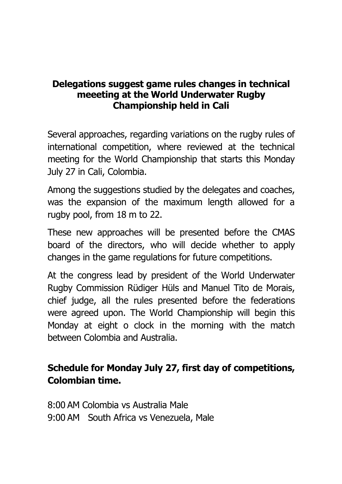#### **Delegations suggest game rules changes in technical meeeting at the World Underwater Rugby Championship held in Cali**

Several approaches, regarding variations on the rugby rules of international competition, where reviewed at the technical meeting for the World Championship that starts this Monday July 27 in Cali, Colombia.

Among the suggestions studied by the delegates and coaches, was the expansion of the maximum length allowed for a rugby pool, from 18 m to 22.

These new approaches will be presented before the CMAS board of the directors, who will decide whether to apply changes in the game regulations for future competitions.

At the congress lead by president of the World Underwater Rugby Commission Rüdiger Hüls and Manuel Tito de Morais, chief judge, all the rules presented before the federations were agreed upon. The World Championship will begin this Monday at eight o clock in the morning with the match between Colombia and Australia.

## **Schedule for Monday July 27, first day of competitions, Colombian time.**

8:00 AM Colombia vs Australia Male 9:00 AM South Africa vs Venezuela, Male